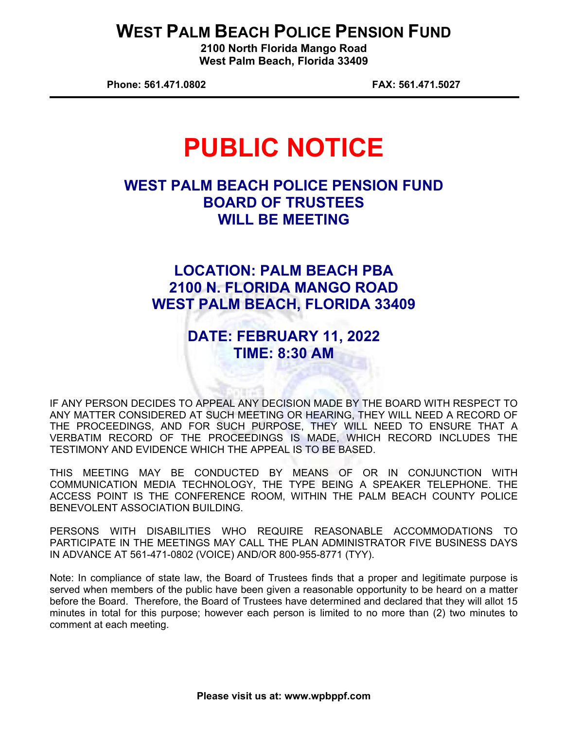## **WEST PALM BEACH POLICE PENSION FUND**

**2100 North Florida Mango Road West Palm Beach, Florida 33409** 

**Phone: 561.471.0802 FAX: 561.471.5027** 

# **PUBLIC NOTICE**

### **WEST PALM BEACH POLICE PENSION FUND BOARD OF TRUSTEES WILL BE MEETING**

## **LOCATION: PALM BEACH PBA 2100 N. FLORIDA MANGO ROAD WEST PALM BEACH, FLORIDA 33409**

#### **DATE: FEBRUARY 11, 2022 TIME: 8:30 AM**

IF ANY PERSON DECIDES TO APPEAL ANY DECISION MADE BY THE BOARD WITH RESPECT TO ANY MATTER CONSIDERED AT SUCH MEETING OR HEARING, THEY WILL NEED A RECORD OF THE PROCEEDINGS, AND FOR SUCH PURPOSE, THEY WILL NEED TO ENSURE THAT A VERBATIM RECORD OF THE PROCEEDINGS IS MADE, WHICH RECORD INCLUDES THE TESTIMONY AND EVIDENCE WHICH THE APPEAL IS TO BE BASED.

THIS MEETING MAY BE CONDUCTED BY MEANS OF OR IN CONJUNCTION WITH COMMUNICATION MEDIA TECHNOLOGY, THE TYPE BEING A SPEAKER TELEPHONE. THE ACCESS POINT IS THE CONFERENCE ROOM, WITHIN THE PALM BEACH COUNTY POLICE BENEVOLENT ASSOCIATION BUILDING.

PERSONS WITH DISABILITIES WHO REQUIRE REASONABLE ACCOMMODATIONS TO PARTICIPATE IN THE MEETINGS MAY CALL THE PLAN ADMINISTRATOR FIVE BUSINESS DAYS IN ADVANCE AT 561-471-0802 (VOICE) AND/OR 800-955-8771 (TYY).

Note: In compliance of state law, the Board of Trustees finds that a proper and legitimate purpose is served when members of the public have been given a reasonable opportunity to be heard on a matter before the Board. Therefore, the Board of Trustees have determined and declared that they will allot 15 minutes in total for this purpose; however each person is limited to no more than (2) two minutes to comment at each meeting.